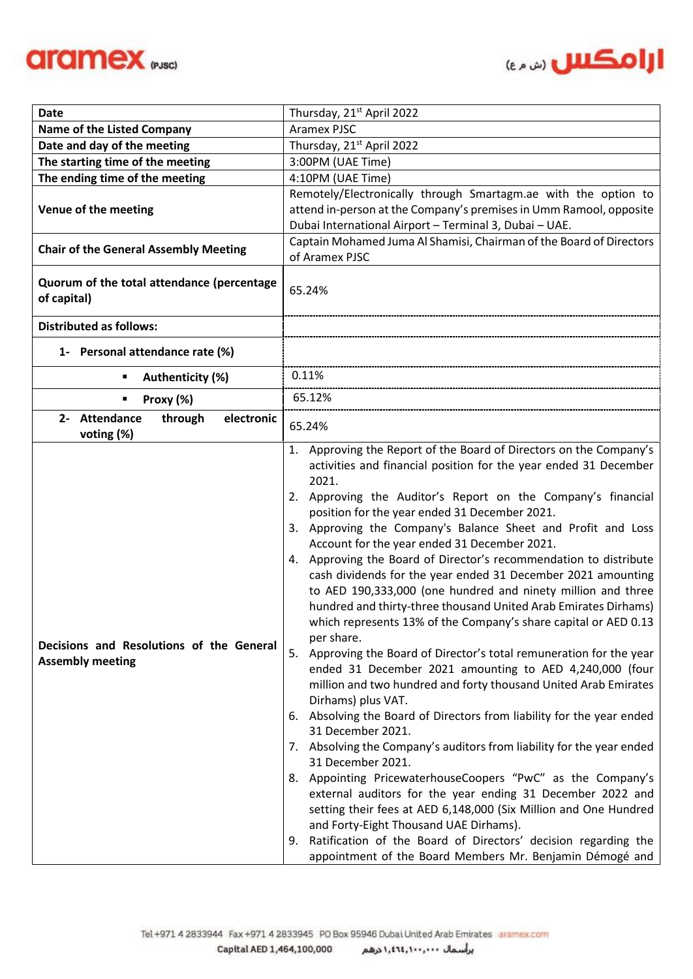



| <b>Date</b>                                                         | Thursday, 21 <sup>st</sup> April 2022                                                                                                                                                                                                                                                                                                                                                                                                                                                                                                                                                                                                                                                                                                                                                                                                                                                                                                                                                                                                                                                                                                                                                                                                                                                                                                                                                                                                                                                                                                                  |  |  |
|---------------------------------------------------------------------|--------------------------------------------------------------------------------------------------------------------------------------------------------------------------------------------------------------------------------------------------------------------------------------------------------------------------------------------------------------------------------------------------------------------------------------------------------------------------------------------------------------------------------------------------------------------------------------------------------------------------------------------------------------------------------------------------------------------------------------------------------------------------------------------------------------------------------------------------------------------------------------------------------------------------------------------------------------------------------------------------------------------------------------------------------------------------------------------------------------------------------------------------------------------------------------------------------------------------------------------------------------------------------------------------------------------------------------------------------------------------------------------------------------------------------------------------------------------------------------------------------------------------------------------------------|--|--|
| <b>Name of the Listed Company</b>                                   | <b>Aramex PJSC</b>                                                                                                                                                                                                                                                                                                                                                                                                                                                                                                                                                                                                                                                                                                                                                                                                                                                                                                                                                                                                                                                                                                                                                                                                                                                                                                                                                                                                                                                                                                                                     |  |  |
| Date and day of the meeting                                         | Thursday, 21 <sup>st</sup> April 2022                                                                                                                                                                                                                                                                                                                                                                                                                                                                                                                                                                                                                                                                                                                                                                                                                                                                                                                                                                                                                                                                                                                                                                                                                                                                                                                                                                                                                                                                                                                  |  |  |
| The starting time of the meeting                                    | 3:00PM (UAE Time)                                                                                                                                                                                                                                                                                                                                                                                                                                                                                                                                                                                                                                                                                                                                                                                                                                                                                                                                                                                                                                                                                                                                                                                                                                                                                                                                                                                                                                                                                                                                      |  |  |
| The ending time of the meeting                                      | 4:10PM (UAE Time)                                                                                                                                                                                                                                                                                                                                                                                                                                                                                                                                                                                                                                                                                                                                                                                                                                                                                                                                                                                                                                                                                                                                                                                                                                                                                                                                                                                                                                                                                                                                      |  |  |
| Venue of the meeting                                                | Remotely/Electronically through Smartagm.ae with the option to<br>attend in-person at the Company's premises in Umm Ramool, opposite<br>Dubai International Airport - Terminal 3, Dubai - UAE.                                                                                                                                                                                                                                                                                                                                                                                                                                                                                                                                                                                                                                                                                                                                                                                                                                                                                                                                                                                                                                                                                                                                                                                                                                                                                                                                                         |  |  |
| <b>Chair of the General Assembly Meeting</b>                        | Captain Mohamed Juma Al Shamisi, Chairman of the Board of Directors<br>of Aramex PJSC                                                                                                                                                                                                                                                                                                                                                                                                                                                                                                                                                                                                                                                                                                                                                                                                                                                                                                                                                                                                                                                                                                                                                                                                                                                                                                                                                                                                                                                                  |  |  |
| Quorum of the total attendance (percentage<br>of capital)           | 65.24%                                                                                                                                                                                                                                                                                                                                                                                                                                                                                                                                                                                                                                                                                                                                                                                                                                                                                                                                                                                                                                                                                                                                                                                                                                                                                                                                                                                                                                                                                                                                                 |  |  |
| <b>Distributed as follows:</b>                                      |                                                                                                                                                                                                                                                                                                                                                                                                                                                                                                                                                                                                                                                                                                                                                                                                                                                                                                                                                                                                                                                                                                                                                                                                                                                                                                                                                                                                                                                                                                                                                        |  |  |
| 1- Personal attendance rate (%)                                     |                                                                                                                                                                                                                                                                                                                                                                                                                                                                                                                                                                                                                                                                                                                                                                                                                                                                                                                                                                                                                                                                                                                                                                                                                                                                                                                                                                                                                                                                                                                                                        |  |  |
| Authenticity (%)<br>٠                                               | 0.11%                                                                                                                                                                                                                                                                                                                                                                                                                                                                                                                                                                                                                                                                                                                                                                                                                                                                                                                                                                                                                                                                                                                                                                                                                                                                                                                                                                                                                                                                                                                                                  |  |  |
| Proxy (%)<br>٠                                                      | 65.12%                                                                                                                                                                                                                                                                                                                                                                                                                                                                                                                                                                                                                                                                                                                                                                                                                                                                                                                                                                                                                                                                                                                                                                                                                                                                                                                                                                                                                                                                                                                                                 |  |  |
| 2- Attendance<br>through<br>electronic<br>voting (%)                | 65.24%                                                                                                                                                                                                                                                                                                                                                                                                                                                                                                                                                                                                                                                                                                                                                                                                                                                                                                                                                                                                                                                                                                                                                                                                                                                                                                                                                                                                                                                                                                                                                 |  |  |
| Decisions and Resolutions of the General<br><b>Assembly meeting</b> | 1. Approving the Report of the Board of Directors on the Company's<br>activities and financial position for the year ended 31 December<br>2021.<br>Approving the Auditor's Report on the Company's financial<br>2.<br>position for the year ended 31 December 2021.<br>Approving the Company's Balance Sheet and Profit and Loss<br>3.<br>Account for the year ended 31 December 2021.<br>4. Approving the Board of Director's recommendation to distribute<br>cash dividends for the year ended 31 December 2021 amounting<br>to AED 190,333,000 (one hundred and ninety million and three<br>hundred and thirty-three thousand United Arab Emirates Dirhams)<br>which represents 13% of the Company's share capital or AED 0.13<br>per share.<br>5.<br>Approving the Board of Director's total remuneration for the year<br>ended 31 December 2021 amounting to AED 4,240,000 (four<br>million and two hundred and forty thousand United Arab Emirates<br>Dirhams) plus VAT.<br>6. Absolving the Board of Directors from liability for the year ended<br>31 December 2021.<br>7. Absolving the Company's auditors from liability for the year ended<br>31 December 2021.<br>8. Appointing PricewaterhouseCoopers "PwC" as the Company's<br>external auditors for the year ending 31 December 2022 and<br>setting their fees at AED 6,148,000 (Six Million and One Hundred<br>and Forty-Eight Thousand UAE Dirhams).<br>9. Ratification of the Board of Directors' decision regarding the<br>appointment of the Board Members Mr. Benjamin Démogé and |  |  |